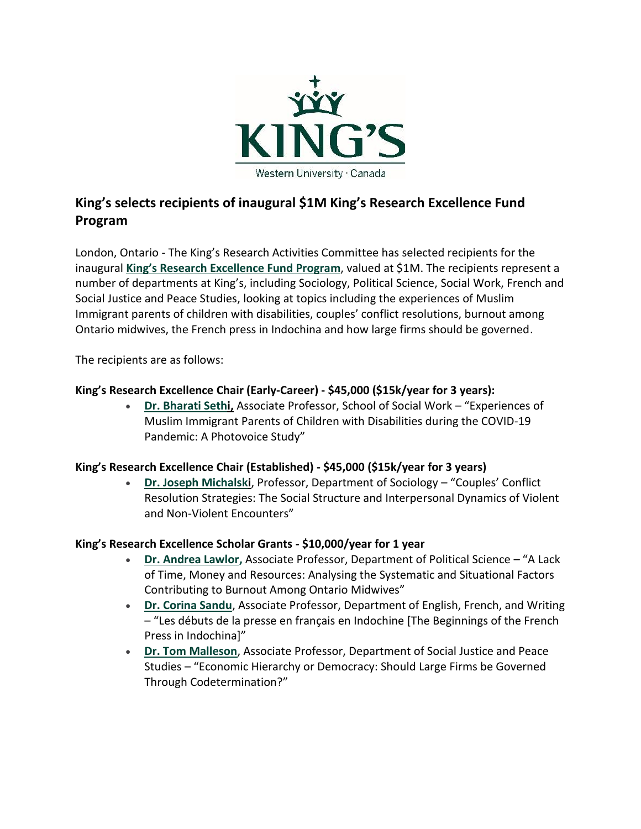

# **King's selects recipients of inaugural \$1M King's Research Excellence Fund Program**

London, Ontario - The King's Research Activities Committee has selected recipients for the inaugural **[King's Research Excellence Fund Progra](https://www.kings.uwo.ca/research/kings-research-excellence-fund/)m**, valued at \$1M. The recipients represent a number of departments at King's, including Sociology, Political Science, Social Work, French and Social Justice and Peace Studies, looking at topics including the experiences of Muslim Immigrant parents of children with disabilities, couples' conflict resolutions, burnout among Ontario midwives, the French press in Indochina and how large firms should be governed.

The recipients are as follows:

## **King's Research Excellence Chair (Early-Career) - \$45,000 (\$15k/year for 3 years):**

• **[Dr. Bharati Sethi,](https://socialwork.kings.uwo.ca/people/faculty-and-administration/member-profile/?doaction=getProfile&id=bsethi3)** Associate Professor, School of Social Work – "Experiences of Muslim Immigrant Parents of Children with Disabilities during the COVID-19 Pandemic: A Photovoice Study"

## **King's Research Excellence Chair (Established) - \$45,000 (\$15k/year for 3 years)**

• **[Dr. Joseph Michalski](https://www.kings.uwo.ca/academics/faculty-info/member-profile/?doaction=getProfile&id=jmichal2)**, Professor, Department of Sociology – "Couples' Conflict Resolution Strategies: The Social Structure and Interpersonal Dynamics of Violent and Non-Violent Encounters"

## **King's Research Excellence Scholar Grants - \$10,000/year for 1 year**

- **[Dr. Andrea Lawlor,](https://www.kings.uwo.ca/academics/political-science/political-science-faculty/?id=alawlor5)** Associate Professor, Department of Political Science "A Lack of Time, Money and Resources: Analysing the Systematic and Situational Factors Contributing to Burnout Among Ontario Midwives"
- **[Dr. Corina Sandu](https://www.kings.uwo.ca/academics/faculty-info/member-profile/?doaction=getProfile&id=csandu)**, Associate Professor, Department of English, French, and Writing – "Les débuts de la presse en français en Indochine [The Beginnings of the French Press in Indochina]"
- **Dr. Tom [Malleson](https://www.kings.uwo.ca/academics/faculty-info/member-profile/?doaction=getProfile&id=tmalleso)**, Associate Professor, Department of Social Justice and Peace Studies – "Economic Hierarchy or Democracy: Should Large Firms be Governed Through Codetermination?"